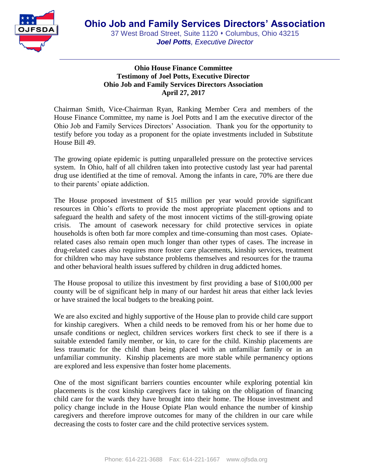

## **Ohio House Finance Committee Testimony of Joel Potts, Executive Director Ohio Job and Family Services Directors Association April 27, 2017**

Chairman Smith, Vice-Chairman Ryan, Ranking Member Cera and members of the House Finance Committee, my name is Joel Potts and I am the executive director of the Ohio Job and Family Services Directors' Association. Thank you for the opportunity to testify before you today as a proponent for the opiate investments included in Substitute House Bill 49.

The growing opiate epidemic is putting unparalleled pressure on the protective services system. In Ohio, half of all children taken into protective custody last year had parental drug use identified at the time of removal. Among the infants in care, 70% are there due to their parents' opiate addiction.

The House proposed investment of \$15 million per year would provide significant resources in Ohio's efforts to provide the most appropriate placement options and to safeguard the health and safety of the most innocent victims of the still-growing opiate crisis. The amount of casework necessary for child protective services in opiate households is often both far more complex and time-consuming than most cases. Opiaterelated cases also remain open much longer than other types of cases. The increase in drug-related cases also requires more foster care placements, kinship services, treatment for children who may have substance problems themselves and resources for the trauma and other behavioral health issues suffered by children in drug addicted homes.

The House proposal to utilize this investment by first providing a base of \$100,000 per county will be of significant help in many of our hardest hit areas that either lack levies or have strained the local budgets to the breaking point.

We are also excited and highly supportive of the House plan to provide child care support for kinship caregivers. When a child needs to be removed from his or her home due to unsafe conditions or neglect, children services workers first check to see if there is a suitable extended family member, or kin, to care for the child. Kinship placements are less traumatic for the child than being placed with an unfamiliar family or in an unfamiliar community. Kinship placements are more stable while permanency options are explored and less expensive than foster home placements.

One of the most significant barriers counties encounter while exploring potential kin placements is the cost kinship caregivers face in taking on the obligation of financing child care for the wards they have brought into their home. The House investment and policy change include in the House Opiate Plan would enhance the number of kinship caregivers and therefore improve outcomes for many of the children in our care while decreasing the costs to foster care and the child protective services system.